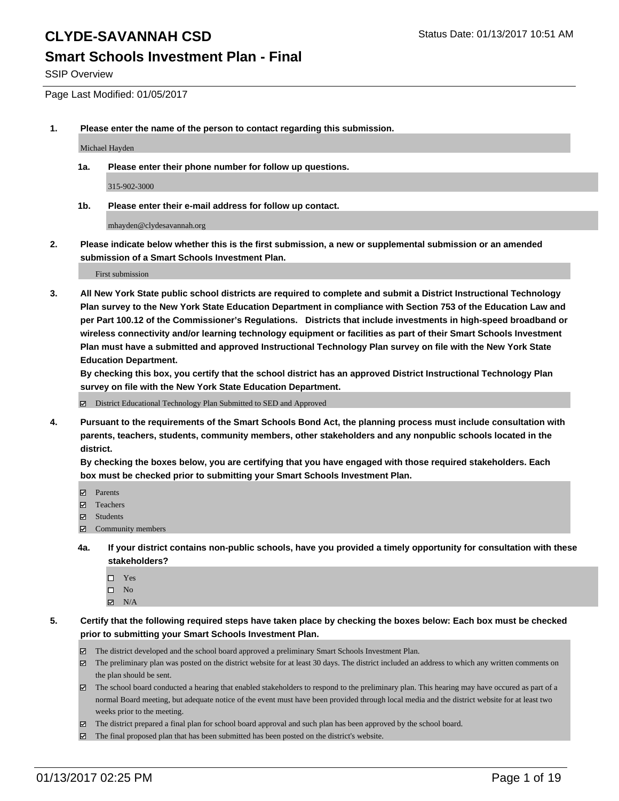SSIP Overview

Page Last Modified: 01/05/2017

**1. Please enter the name of the person to contact regarding this submission.**

Michael Hayden

**1a. Please enter their phone number for follow up questions.**

315-902-3000

**1b. Please enter their e-mail address for follow up contact.**

mhayden@clydesavannah.org

**2. Please indicate below whether this is the first submission, a new or supplemental submission or an amended submission of a Smart Schools Investment Plan.**

First submission

**3. All New York State public school districts are required to complete and submit a District Instructional Technology Plan survey to the New York State Education Department in compliance with Section 753 of the Education Law and per Part 100.12 of the Commissioner's Regulations. Districts that include investments in high-speed broadband or wireless connectivity and/or learning technology equipment or facilities as part of their Smart Schools Investment Plan must have a submitted and approved Instructional Technology Plan survey on file with the New York State Education Department.** 

**By checking this box, you certify that the school district has an approved District Instructional Technology Plan survey on file with the New York State Education Department.**

District Educational Technology Plan Submitted to SED and Approved

**4. Pursuant to the requirements of the Smart Schools Bond Act, the planning process must include consultation with parents, teachers, students, community members, other stakeholders and any nonpublic schools located in the district.** 

**By checking the boxes below, you are certifying that you have engaged with those required stakeholders. Each box must be checked prior to submitting your Smart Schools Investment Plan.**

- **Parents**
- Teachers
- **冈** Students
- Community members
- **4a. If your district contains non-public schools, have you provided a timely opportunity for consultation with these stakeholders?**
	- □ Yes
	- $\square$  No
	- $\boxtimes$  N/A
- **5. Certify that the following required steps have taken place by checking the boxes below: Each box must be checked prior to submitting your Smart Schools Investment Plan.**
	- The district developed and the school board approved a preliminary Smart Schools Investment Plan.
	- The preliminary plan was posted on the district website for at least 30 days. The district included an address to which any written comments on the plan should be sent.
	- The school board conducted a hearing that enabled stakeholders to respond to the preliminary plan. This hearing may have occured as part of a normal Board meeting, but adequate notice of the event must have been provided through local media and the district website for at least two weeks prior to the meeting.
	- The district prepared a final plan for school board approval and such plan has been approved by the school board.
	- $\boxtimes$  The final proposed plan that has been submitted has been posted on the district's website.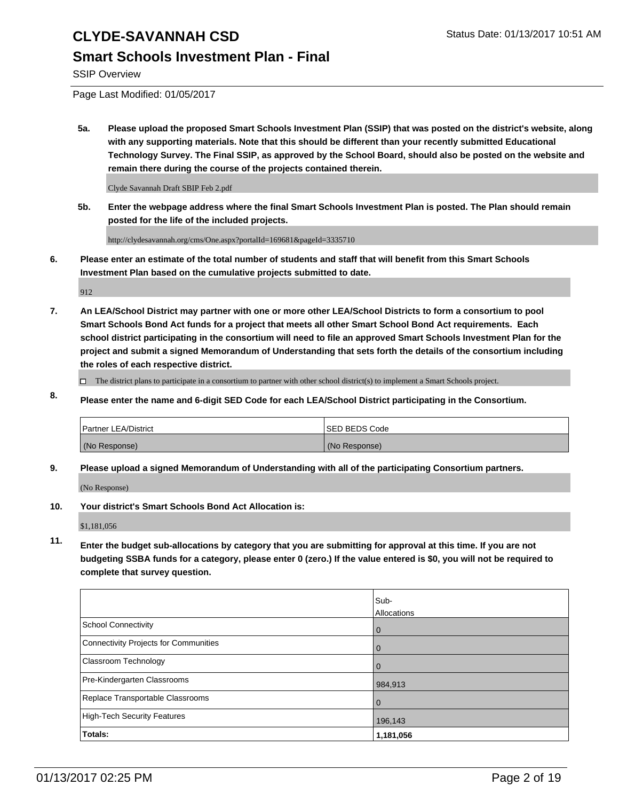### **Smart Schools Investment Plan - Final**

SSIP Overview

Page Last Modified: 01/05/2017

**5a. Please upload the proposed Smart Schools Investment Plan (SSIP) that was posted on the district's website, along with any supporting materials. Note that this should be different than your recently submitted Educational Technology Survey. The Final SSIP, as approved by the School Board, should also be posted on the website and remain there during the course of the projects contained therein.**

Clyde Savannah Draft SBIP Feb 2.pdf

**5b. Enter the webpage address where the final Smart Schools Investment Plan is posted. The Plan should remain posted for the life of the included projects.**

http://clydesavannah.org/cms/One.aspx?portalId=169681&pageId=3335710

**6. Please enter an estimate of the total number of students and staff that will benefit from this Smart Schools Investment Plan based on the cumulative projects submitted to date.**

912

- **7. An LEA/School District may partner with one or more other LEA/School Districts to form a consortium to pool Smart Schools Bond Act funds for a project that meets all other Smart School Bond Act requirements. Each school district participating in the consortium will need to file an approved Smart Schools Investment Plan for the project and submit a signed Memorandum of Understanding that sets forth the details of the consortium including the roles of each respective district.**
	- $\Box$  The district plans to participate in a consortium to partner with other school district(s) to implement a Smart Schools project.
- **8. Please enter the name and 6-digit SED Code for each LEA/School District participating in the Consortium.**

| <b>Partner LEA/District</b> | <b>ISED BEDS Code</b> |
|-----------------------------|-----------------------|
| (No Response)               | (No Response)         |

**9. Please upload a signed Memorandum of Understanding with all of the participating Consortium partners.**

(No Response)

**10. Your district's Smart Schools Bond Act Allocation is:**

\$1,181,056

**11. Enter the budget sub-allocations by category that you are submitting for approval at this time. If you are not budgeting SSBA funds for a category, please enter 0 (zero.) If the value entered is \$0, you will not be required to complete that survey question.**

|                                       | Sub-        |
|---------------------------------------|-------------|
|                                       | Allocations |
| School Connectivity                   | O           |
| Connectivity Projects for Communities | O           |
| <b>Classroom Technology</b>           |             |
| Pre-Kindergarten Classrooms           | 984,913     |
| Replace Transportable Classrooms      |             |
| High-Tech Security Features           | 196,143     |
| Totals:                               | 1,181,056   |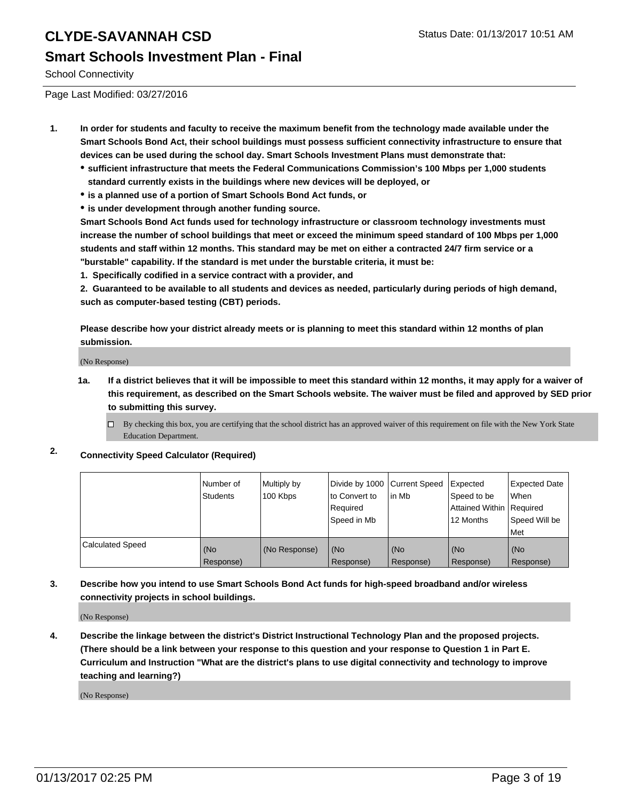#### **Smart Schools Investment Plan - Final**

School Connectivity

Page Last Modified: 03/27/2016

- **1. In order for students and faculty to receive the maximum benefit from the technology made available under the Smart Schools Bond Act, their school buildings must possess sufficient connectivity infrastructure to ensure that devices can be used during the school day. Smart Schools Investment Plans must demonstrate that:**
	- **sufficient infrastructure that meets the Federal Communications Commission's 100 Mbps per 1,000 students standard currently exists in the buildings where new devices will be deployed, or**
	- **is a planned use of a portion of Smart Schools Bond Act funds, or**
	- **is under development through another funding source.**

**Smart Schools Bond Act funds used for technology infrastructure or classroom technology investments must increase the number of school buildings that meet or exceed the minimum speed standard of 100 Mbps per 1,000 students and staff within 12 months. This standard may be met on either a contracted 24/7 firm service or a "burstable" capability. If the standard is met under the burstable criteria, it must be:**

**1. Specifically codified in a service contract with a provider, and**

**2. Guaranteed to be available to all students and devices as needed, particularly during periods of high demand, such as computer-based testing (CBT) periods.**

**Please describe how your district already meets or is planning to meet this standard within 12 months of plan submission.**

(No Response)

**1a. If a district believes that it will be impossible to meet this standard within 12 months, it may apply for a waiver of this requirement, as described on the Smart Schools website. The waiver must be filed and approved by SED prior to submitting this survey.**

 $\Box$ By checking this box, you are certifying that the school district has an approved waiver of this requirement on file with the New York State Education Department.

**2. Connectivity Speed Calculator (Required)**

|                         | Number of<br>Students | Multiply by<br>100 Kbps | Divide by 1000 Current Speed<br>to Convert to<br>Required<br>Sbeed in Mb | lin Mb           | Expected<br>Speed to be<br>Attained Within   Required<br>12 Months | Expected Date<br>l When<br>Speed Will be<br>l Met |
|-------------------------|-----------------------|-------------------------|--------------------------------------------------------------------------|------------------|--------------------------------------------------------------------|---------------------------------------------------|
| <b>Calculated Speed</b> | (No<br>Response)      | (No Response)           | (No<br>Response)                                                         | (No<br>Response) | (No<br>Response)                                                   | l (No<br>Response)                                |

**3. Describe how you intend to use Smart Schools Bond Act funds for high-speed broadband and/or wireless connectivity projects in school buildings.**

(No Response)

**4. Describe the linkage between the district's District Instructional Technology Plan and the proposed projects. (There should be a link between your response to this question and your response to Question 1 in Part E. Curriculum and Instruction "What are the district's plans to use digital connectivity and technology to improve teaching and learning?)**

(No Response)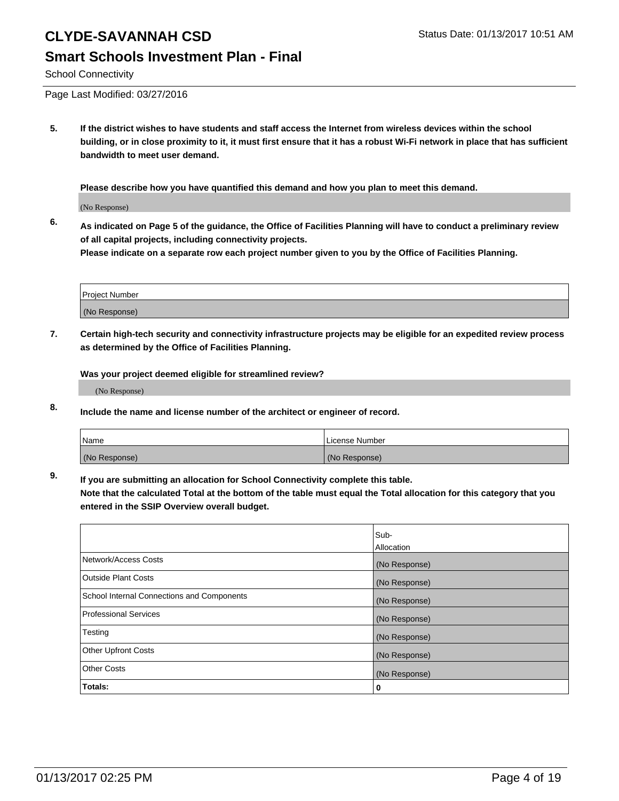### **Smart Schools Investment Plan - Final**

School Connectivity

Page Last Modified: 03/27/2016

**5. If the district wishes to have students and staff access the Internet from wireless devices within the school building, or in close proximity to it, it must first ensure that it has a robust Wi-Fi network in place that has sufficient bandwidth to meet user demand.**

**Please describe how you have quantified this demand and how you plan to meet this demand.**

(No Response)

**6. As indicated on Page 5 of the guidance, the Office of Facilities Planning will have to conduct a preliminary review of all capital projects, including connectivity projects.**

**Please indicate on a separate row each project number given to you by the Office of Facilities Planning.**

| Project Number |  |
|----------------|--|
|                |  |
| (No Response)  |  |

**7. Certain high-tech security and connectivity infrastructure projects may be eligible for an expedited review process as determined by the Office of Facilities Planning.**

**Was your project deemed eligible for streamlined review?**

(No Response)

**8. Include the name and license number of the architect or engineer of record.**

| <b>Name</b>   | License Number |
|---------------|----------------|
| (No Response) | (No Response)  |

**9. If you are submitting an allocation for School Connectivity complete this table.**

**Note that the calculated Total at the bottom of the table must equal the Total allocation for this category that you entered in the SSIP Overview overall budget.** 

|                                            | Sub-          |
|--------------------------------------------|---------------|
|                                            | Allocation    |
| Network/Access Costs                       | (No Response) |
| <b>Outside Plant Costs</b>                 | (No Response) |
| School Internal Connections and Components | (No Response) |
| <b>Professional Services</b>               | (No Response) |
| Testing                                    | (No Response) |
| <b>Other Upfront Costs</b>                 | (No Response) |
| <b>Other Costs</b>                         | (No Response) |
| Totals:                                    | 0             |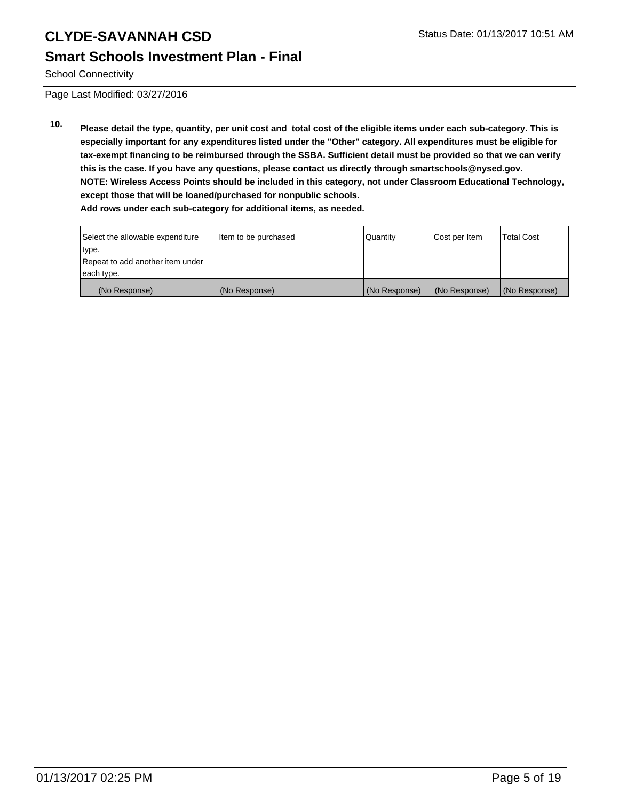### **Smart Schools Investment Plan - Final**

School Connectivity

Page Last Modified: 03/27/2016

**10. Please detail the type, quantity, per unit cost and total cost of the eligible items under each sub-category. This is especially important for any expenditures listed under the "Other" category. All expenditures must be eligible for tax-exempt financing to be reimbursed through the SSBA. Sufficient detail must be provided so that we can verify this is the case. If you have any questions, please contact us directly through smartschools@nysed.gov. NOTE: Wireless Access Points should be included in this category, not under Classroom Educational Technology, except those that will be loaned/purchased for nonpublic schools. Add rows under each sub-category for additional items, as needed.**

| Select the allowable expenditure | Item to be purchased | Quantity      | Cost per Item | <b>Total Cost</b> |
|----------------------------------|----------------------|---------------|---------------|-------------------|
| type.                            |                      |               |               |                   |
| Repeat to add another item under |                      |               |               |                   |
| each type.                       |                      |               |               |                   |
| (No Response)                    | (No Response)        | (No Response) | (No Response) | (No Response)     |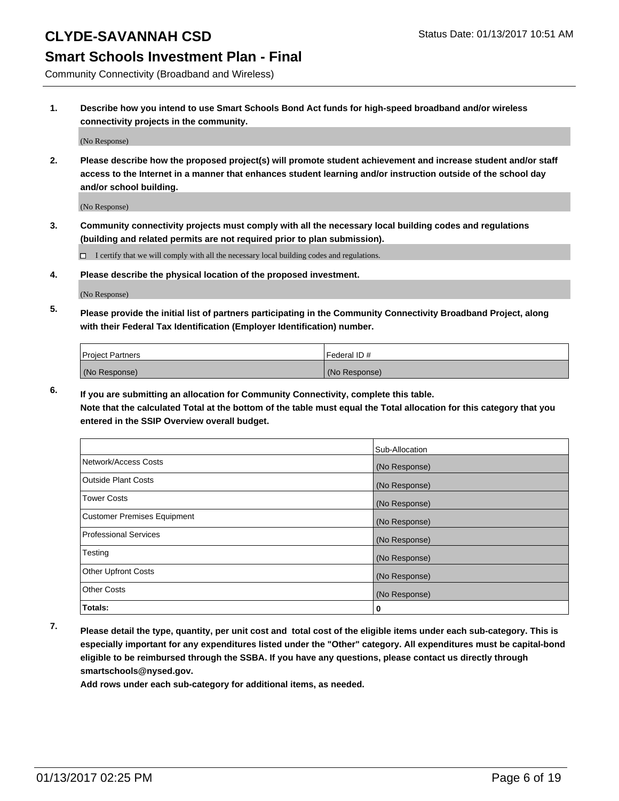Community Connectivity (Broadband and Wireless)

**1. Describe how you intend to use Smart Schools Bond Act funds for high-speed broadband and/or wireless connectivity projects in the community.**

(No Response)

**2. Please describe how the proposed project(s) will promote student achievement and increase student and/or staff access to the Internet in a manner that enhances student learning and/or instruction outside of the school day and/or school building.**

(No Response)

**3. Community connectivity projects must comply with all the necessary local building codes and regulations (building and related permits are not required prior to plan submission).**

 $\Box$  I certify that we will comply with all the necessary local building codes and regulations.

**4. Please describe the physical location of the proposed investment.**

(No Response)

**5. Please provide the initial list of partners participating in the Community Connectivity Broadband Project, along with their Federal Tax Identification (Employer Identification) number.**

| <b>Project Partners</b> | Federal ID#   |
|-------------------------|---------------|
| (No Response)           | (No Response) |

**6. If you are submitting an allocation for Community Connectivity, complete this table.**

**Note that the calculated Total at the bottom of the table must equal the Total allocation for this category that you entered in the SSIP Overview overall budget.**

|                                    | Sub-Allocation |
|------------------------------------|----------------|
| Network/Access Costs               | (No Response)  |
| Outside Plant Costs                | (No Response)  |
| <b>Tower Costs</b>                 | (No Response)  |
| <b>Customer Premises Equipment</b> | (No Response)  |
| Professional Services              | (No Response)  |
| Testing                            | (No Response)  |
| <b>Other Upfront Costs</b>         | (No Response)  |
| <b>Other Costs</b>                 | (No Response)  |
| <b>Totals:</b>                     | 0              |

**7. Please detail the type, quantity, per unit cost and total cost of the eligible items under each sub-category. This is especially important for any expenditures listed under the "Other" category. All expenditures must be capital-bond eligible to be reimbursed through the SSBA. If you have any questions, please contact us directly through smartschools@nysed.gov.**

**Add rows under each sub-category for additional items, as needed.**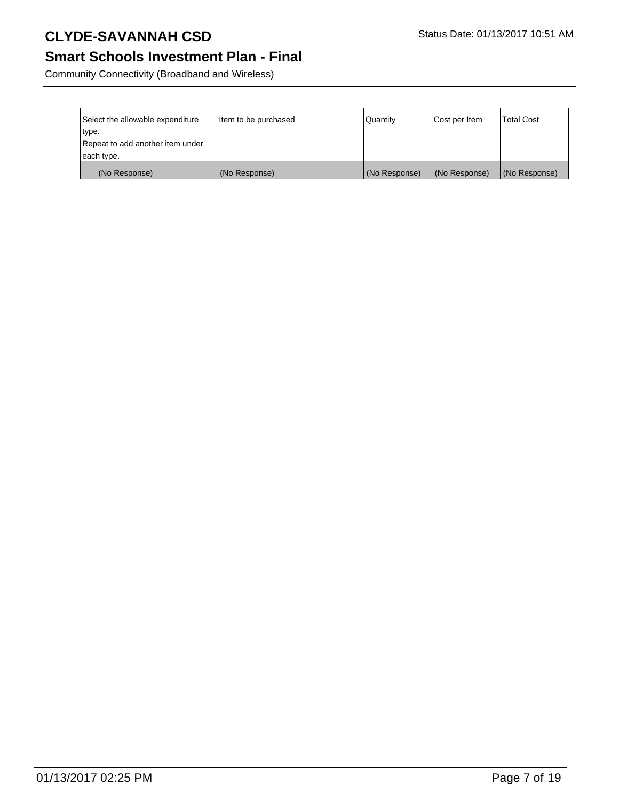## **Smart Schools Investment Plan - Final**

Community Connectivity (Broadband and Wireless)

| Select the allowable expenditure | I Item to be purchased | Quantity      | Cost per Item | <b>Total Cost</b> |
|----------------------------------|------------------------|---------------|---------------|-------------------|
| type.                            |                        |               |               |                   |
| Repeat to add another item under |                        |               |               |                   |
| each type.                       |                        |               |               |                   |
| (No Response)                    | (No Response)          | (No Response) | (No Response) | (No Response)     |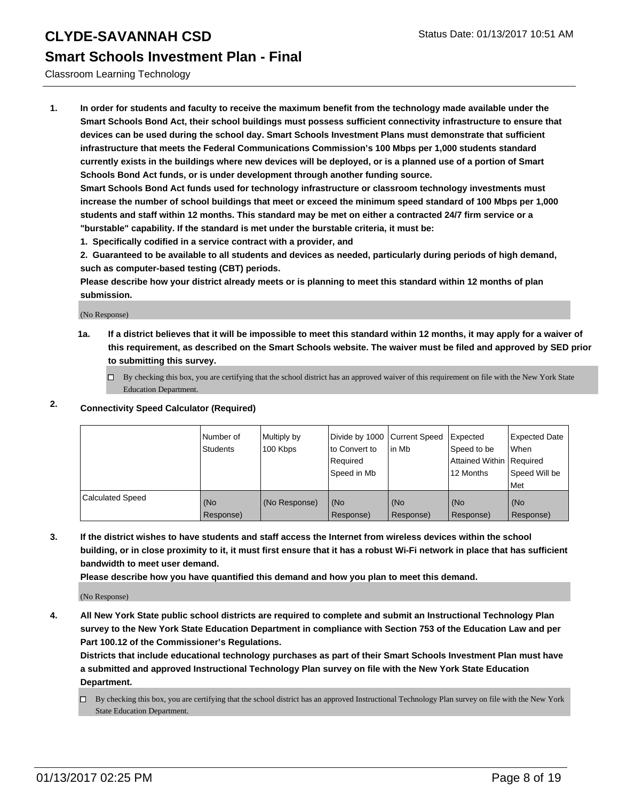### **Smart Schools Investment Plan - Final**

Classroom Learning Technology

**1. In order for students and faculty to receive the maximum benefit from the technology made available under the Smart Schools Bond Act, their school buildings must possess sufficient connectivity infrastructure to ensure that devices can be used during the school day. Smart Schools Investment Plans must demonstrate that sufficient infrastructure that meets the Federal Communications Commission's 100 Mbps per 1,000 students standard currently exists in the buildings where new devices will be deployed, or is a planned use of a portion of Smart Schools Bond Act funds, or is under development through another funding source.**

**Smart Schools Bond Act funds used for technology infrastructure or classroom technology investments must increase the number of school buildings that meet or exceed the minimum speed standard of 100 Mbps per 1,000 students and staff within 12 months. This standard may be met on either a contracted 24/7 firm service or a "burstable" capability. If the standard is met under the burstable criteria, it must be:**

**1. Specifically codified in a service contract with a provider, and**

**2. Guaranteed to be available to all students and devices as needed, particularly during periods of high demand, such as computer-based testing (CBT) periods.**

**Please describe how your district already meets or is planning to meet this standard within 12 months of plan submission.**

(No Response)

**1a. If a district believes that it will be impossible to meet this standard within 12 months, it may apply for a waiver of this requirement, as described on the Smart Schools website. The waiver must be filed and approved by SED prior to submitting this survey.**

 $\Box$  By checking this box, you are certifying that the school district has an approved waiver of this requirement on file with the New York State Education Department.

#### **2. Connectivity Speed Calculator (Required)**

|                         | INumber of<br>Students | Multiply by<br>100 Kbps | Divide by 1000 Current Speed<br>Ito Convert to<br>Required<br>Speed in Mb | lin Mb             | Expected<br>Speed to be<br>Attained Within Required<br>12 Months | Expected Date<br><b>When</b><br>Speed Will be<br>l Met |
|-------------------------|------------------------|-------------------------|---------------------------------------------------------------------------|--------------------|------------------------------------------------------------------|--------------------------------------------------------|
| <b>Calculated Speed</b> | (No<br>Response)       | (No Response)           | (No<br>Response)                                                          | l (No<br>Response) | (No<br>Response)                                                 | l (No<br>Response)                                     |

**3. If the district wishes to have students and staff access the Internet from wireless devices within the school building, or in close proximity to it, it must first ensure that it has a robust Wi-Fi network in place that has sufficient bandwidth to meet user demand.**

**Please describe how you have quantified this demand and how you plan to meet this demand.**

(No Response)

**4. All New York State public school districts are required to complete and submit an Instructional Technology Plan survey to the New York State Education Department in compliance with Section 753 of the Education Law and per Part 100.12 of the Commissioner's Regulations.**

**Districts that include educational technology purchases as part of their Smart Schools Investment Plan must have a submitted and approved Instructional Technology Plan survey on file with the New York State Education Department.**

By checking this box, you are certifying that the school district has an approved Instructional Technology Plan survey on file with the New York State Education Department.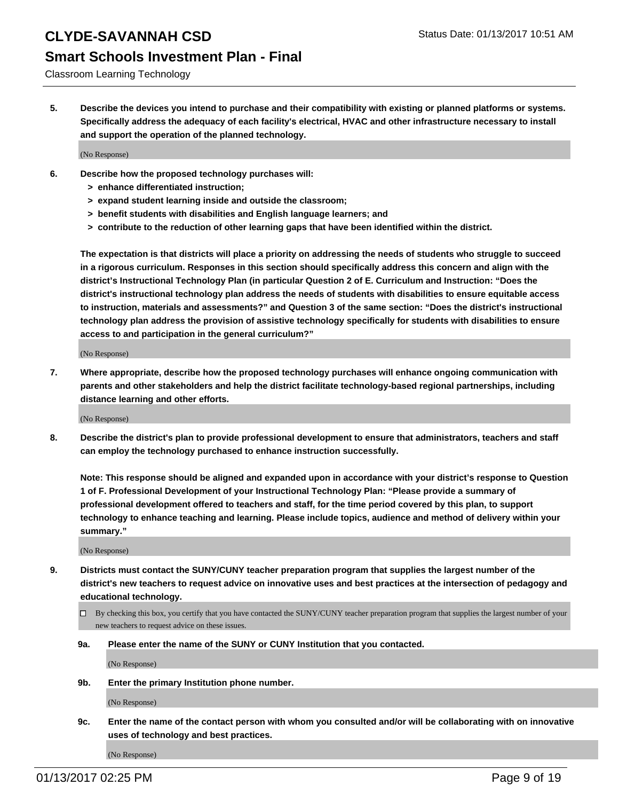### **Smart Schools Investment Plan - Final**

#### Classroom Learning Technology

**5. Describe the devices you intend to purchase and their compatibility with existing or planned platforms or systems. Specifically address the adequacy of each facility's electrical, HVAC and other infrastructure necessary to install and support the operation of the planned technology.**

(No Response)

- **6. Describe how the proposed technology purchases will:**
	- **> enhance differentiated instruction;**
	- **> expand student learning inside and outside the classroom;**
	- **> benefit students with disabilities and English language learners; and**
	- **> contribute to the reduction of other learning gaps that have been identified within the district.**

**The expectation is that districts will place a priority on addressing the needs of students who struggle to succeed in a rigorous curriculum. Responses in this section should specifically address this concern and align with the district's Instructional Technology Plan (in particular Question 2 of E. Curriculum and Instruction: "Does the district's instructional technology plan address the needs of students with disabilities to ensure equitable access to instruction, materials and assessments?" and Question 3 of the same section: "Does the district's instructional technology plan address the provision of assistive technology specifically for students with disabilities to ensure access to and participation in the general curriculum?"**

(No Response)

**7. Where appropriate, describe how the proposed technology purchases will enhance ongoing communication with parents and other stakeholders and help the district facilitate technology-based regional partnerships, including distance learning and other efforts.**

(No Response)

**8. Describe the district's plan to provide professional development to ensure that administrators, teachers and staff can employ the technology purchased to enhance instruction successfully.**

**Note: This response should be aligned and expanded upon in accordance with your district's response to Question 1 of F. Professional Development of your Instructional Technology Plan: "Please provide a summary of professional development offered to teachers and staff, for the time period covered by this plan, to support technology to enhance teaching and learning. Please include topics, audience and method of delivery within your summary."**

(No Response)

- **9. Districts must contact the SUNY/CUNY teacher preparation program that supplies the largest number of the district's new teachers to request advice on innovative uses and best practices at the intersection of pedagogy and educational technology.**
	- $\Box$  By checking this box, you certify that you have contacted the SUNY/CUNY teacher preparation program that supplies the largest number of your new teachers to request advice on these issues.
	- **9a. Please enter the name of the SUNY or CUNY Institution that you contacted.**

(No Response)

**9b. Enter the primary Institution phone number.**

(No Response)

**9c. Enter the name of the contact person with whom you consulted and/or will be collaborating with on innovative uses of technology and best practices.**

(No Response)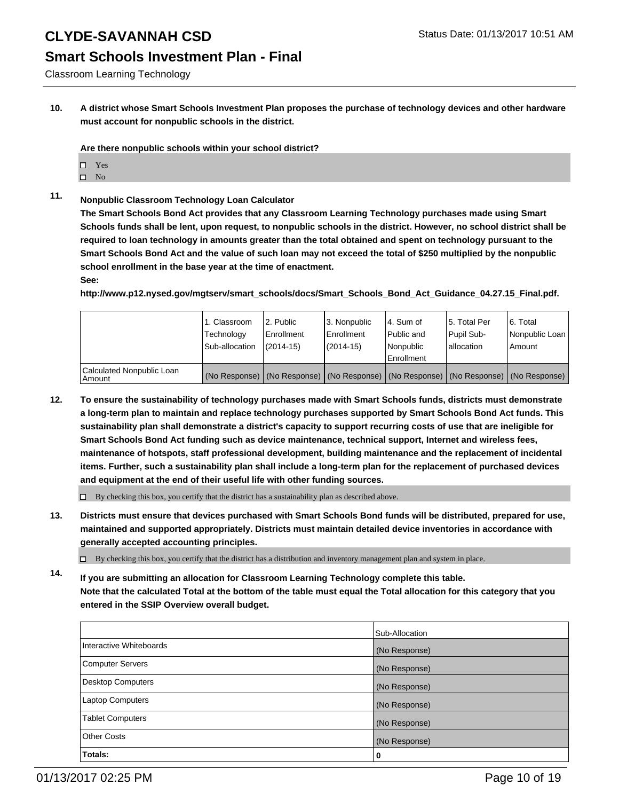### **Smart Schools Investment Plan - Final**

Classroom Learning Technology

**10. A district whose Smart Schools Investment Plan proposes the purchase of technology devices and other hardware must account for nonpublic schools in the district.**

**Are there nonpublic schools within your school district?**

- □ Yes
- $\square$  No
- **11. Nonpublic Classroom Technology Loan Calculator**

**The Smart Schools Bond Act provides that any Classroom Learning Technology purchases made using Smart Schools funds shall be lent, upon request, to nonpublic schools in the district. However, no school district shall be required to loan technology in amounts greater than the total obtained and spent on technology pursuant to the Smart Schools Bond Act and the value of such loan may not exceed the total of \$250 multiplied by the nonpublic school enrollment in the base year at the time of enactment.**

#### **See:**

**http://www.p12.nysed.gov/mgtserv/smart\_schools/docs/Smart\_Schools\_Bond\_Act\_Guidance\_04.27.15\_Final.pdf.**

|                                         | 1. Classroom<br>Technology<br>Sub-allocation | 2. Public<br>Enrollment<br>$(2014 - 15)$ | 3. Nonpublic<br>Enrollment<br>(2014-15) | l 4. Sum of<br>l Public and<br>l Nonpublic<br>Enrollment                                      | 15. Total Per<br>Pupil Sub-<br>Iallocation | 6. Total<br>Nonpublic Loan  <br>Amount |
|-----------------------------------------|----------------------------------------------|------------------------------------------|-----------------------------------------|-----------------------------------------------------------------------------------------------|--------------------------------------------|----------------------------------------|
| Calculated Nonpublic Loan<br>l Amount i |                                              |                                          |                                         | (No Response)   (No Response)   (No Response)   (No Response)   (No Response)   (No Response) |                                            |                                        |

- **12. To ensure the sustainability of technology purchases made with Smart Schools funds, districts must demonstrate a long-term plan to maintain and replace technology purchases supported by Smart Schools Bond Act funds. This sustainability plan shall demonstrate a district's capacity to support recurring costs of use that are ineligible for Smart Schools Bond Act funding such as device maintenance, technical support, Internet and wireless fees, maintenance of hotspots, staff professional development, building maintenance and the replacement of incidental items. Further, such a sustainability plan shall include a long-term plan for the replacement of purchased devices and equipment at the end of their useful life with other funding sources.**
	- $\Box$  By checking this box, you certify that the district has a sustainability plan as described above.
- **13. Districts must ensure that devices purchased with Smart Schools Bond funds will be distributed, prepared for use, maintained and supported appropriately. Districts must maintain detailed device inventories in accordance with generally accepted accounting principles.**

By checking this box, you certify that the district has a distribution and inventory management plan and system in place.

**14. If you are submitting an allocation for Classroom Learning Technology complete this table. Note that the calculated Total at the bottom of the table must equal the Total allocation for this category that you entered in the SSIP Overview overall budget.**

|                          | Sub-Allocation |
|--------------------------|----------------|
| Interactive Whiteboards  | (No Response)  |
| Computer Servers         | (No Response)  |
| <b>Desktop Computers</b> | (No Response)  |
| Laptop Computers         | (No Response)  |
| <b>Tablet Computers</b>  | (No Response)  |
| Other Costs              | (No Response)  |
| Totals:                  | 0              |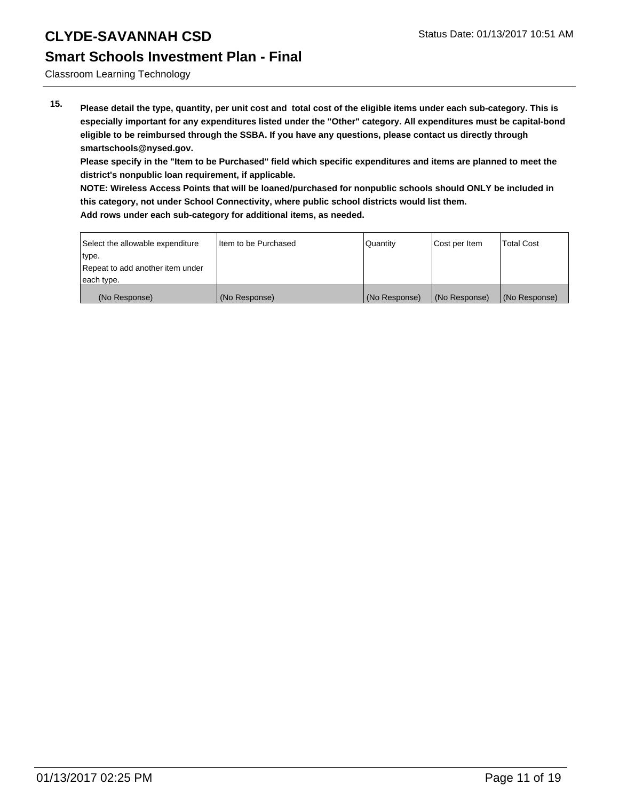### **Smart Schools Investment Plan - Final**

Classroom Learning Technology

**15. Please detail the type, quantity, per unit cost and total cost of the eligible items under each sub-category. This is especially important for any expenditures listed under the "Other" category. All expenditures must be capital-bond eligible to be reimbursed through the SSBA. If you have any questions, please contact us directly through smartschools@nysed.gov.**

**Please specify in the "Item to be Purchased" field which specific expenditures and items are planned to meet the district's nonpublic loan requirement, if applicable.**

**NOTE: Wireless Access Points that will be loaned/purchased for nonpublic schools should ONLY be included in this category, not under School Connectivity, where public school districts would list them.**

**Add rows under each sub-category for additional items, as needed.**

| Select the allowable expenditure | I Item to be Purchased | Quantity      | Cost per Item | <b>Total Cost</b> |
|----------------------------------|------------------------|---------------|---------------|-------------------|
| type.                            |                        |               |               |                   |
| Repeat to add another item under |                        |               |               |                   |
| each type.                       |                        |               |               |                   |
| (No Response)                    | (No Response)          | (No Response) | (No Response) | (No Response)     |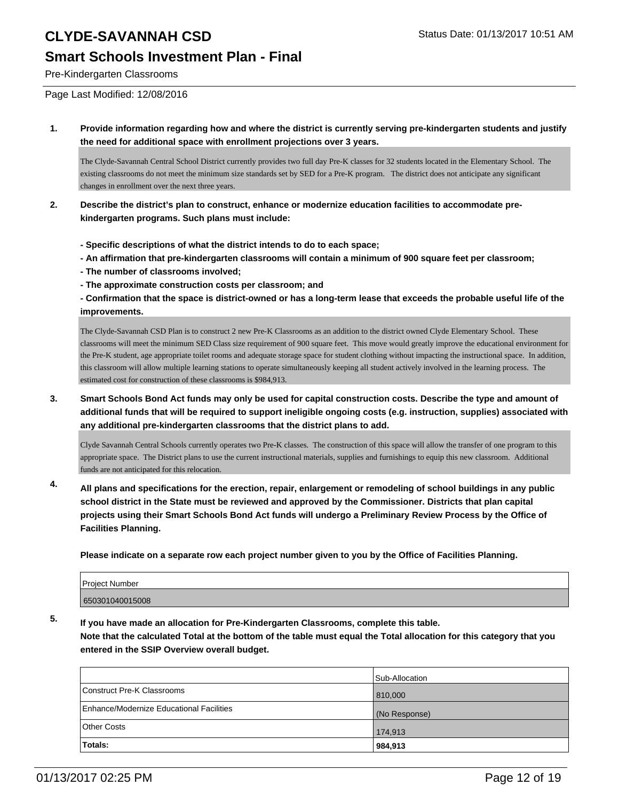### **Smart Schools Investment Plan - Final**

Pre-Kindergarten Classrooms

Page Last Modified: 12/08/2016

**1. Provide information regarding how and where the district is currently serving pre-kindergarten students and justify the need for additional space with enrollment projections over 3 years.**

The Clyde-Savannah Central School District currently provides two full day Pre-K classes for 32 students located in the Elementary School. The existing classrooms do not meet the minimum size standards set by SED for a Pre-K program. The district does not anticipate any significant changes in enrollment over the next three years.

- **2. Describe the district's plan to construct, enhance or modernize education facilities to accommodate prekindergarten programs. Such plans must include:**
	- **Specific descriptions of what the district intends to do to each space;**
	- **An affirmation that pre-kindergarten classrooms will contain a minimum of 900 square feet per classroom;**
	- **The number of classrooms involved;**
	- **The approximate construction costs per classroom; and**
	- **Confirmation that the space is district-owned or has a long-term lease that exceeds the probable useful life of the improvements.**

The Clyde-Savannah CSD Plan is to construct 2 new Pre-K Classrooms as an addition to the district owned Clyde Elementary School. These classrooms will meet the minimum SED Class size requirement of 900 square feet. This move would greatly improve the educational environment for the Pre-K student, age appropriate toilet rooms and adequate storage space for student clothing without impacting the instructional space. In addition, this classroom will allow multiple learning stations to operate simultaneously keeping all student actively involved in the learning process. The estimated cost for construction of these classrooms is \$984,913.

**3. Smart Schools Bond Act funds may only be used for capital construction costs. Describe the type and amount of additional funds that will be required to support ineligible ongoing costs (e.g. instruction, supplies) associated with any additional pre-kindergarten classrooms that the district plans to add.**

Clyde Savannah Central Schools currently operates two Pre-K classes. The construction of this space will allow the transfer of one program to this appropriate space. The District plans to use the current instructional materials, supplies and furnishings to equip this new classroom. Additional funds are not anticipated for this relocation.

**4. All plans and specifications for the erection, repair, enlargement or remodeling of school buildings in any public school district in the State must be reviewed and approved by the Commissioner. Districts that plan capital projects using their Smart Schools Bond Act funds will undergo a Preliminary Review Process by the Office of Facilities Planning.**

**Please indicate on a separate row each project number given to you by the Office of Facilities Planning.**

| <b>Project Number</b> |  |
|-----------------------|--|
| 650301040015008       |  |
|                       |  |

**5. If you have made an allocation for Pre-Kindergarten Classrooms, complete this table. Note that the calculated Total at the bottom of the table must equal the Total allocation for this category that you entered in the SSIP Overview overall budget.**

|                                          | Sub-Allocation |
|------------------------------------------|----------------|
| Construct Pre-K Classrooms               | 810,000        |
| Enhance/Modernize Educational Facilities | (No Response)  |
| Other Costs                              | 174,913        |
| Totals:                                  | 984,913        |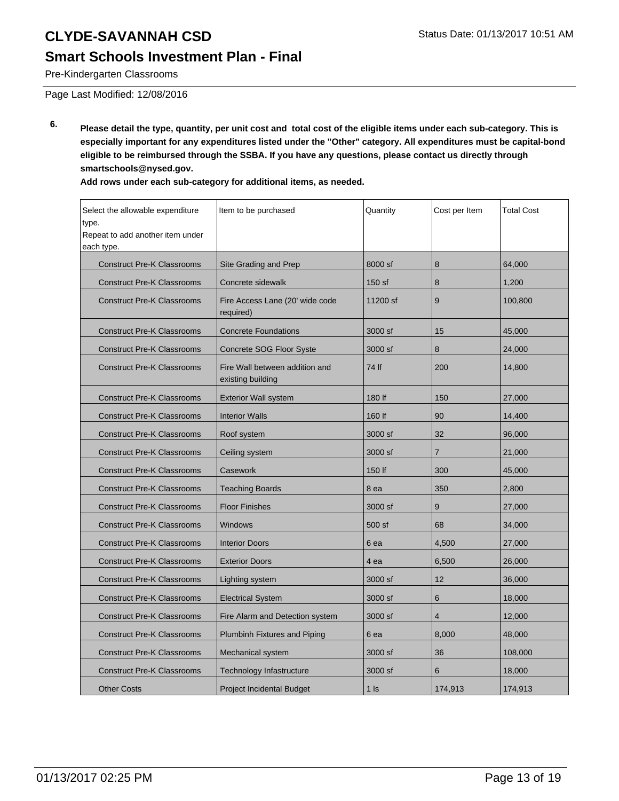Pre-Kindergarten Classrooms

Page Last Modified: 12/08/2016

**6. Please detail the type, quantity, per unit cost and total cost of the eligible items under each sub-category. This is especially important for any expenditures listed under the "Other" category. All expenditures must be capital-bond eligible to be reimbursed through the SSBA. If you have any questions, please contact us directly through smartschools@nysed.gov.**

| Add rows under each sub-category for additional items, as needed. |  |  |  |  |  |  |  |  |  |  |  |
|-------------------------------------------------------------------|--|--|--|--|--|--|--|--|--|--|--|
|-------------------------------------------------------------------|--|--|--|--|--|--|--|--|--|--|--|

| Select the allowable expenditure<br>type.<br>Repeat to add another item under<br>each type. | Item to be purchased                                | Quantity        | Cost per Item  | Total Cost |
|---------------------------------------------------------------------------------------------|-----------------------------------------------------|-----------------|----------------|------------|
| <b>Construct Pre-K Classrooms</b>                                                           | Site Grading and Prep                               | 8000 sf         | 8              | 64,000     |
| <b>Construct Pre-K Classrooms</b>                                                           | Concrete sidewalk                                   | $150$ sf        | 8              | 1,200      |
| <b>Construct Pre-K Classrooms</b>                                                           | Fire Access Lane (20' wide code<br>required)        | 11200 sf        | 9              | 100,800    |
| <b>Construct Pre-K Classrooms</b>                                                           | <b>Concrete Foundations</b>                         | 3000 sf         | 15             | 45,000     |
| <b>Construct Pre-K Classrooms</b>                                                           | Concrete SOG Floor Syste                            | 3000 sf         | 8              | 24,000     |
| <b>Construct Pre-K Classrooms</b>                                                           | Fire Wall between addition and<br>existing building | 74 If           | 200            | 14,800     |
| <b>Construct Pre-K Classrooms</b>                                                           | <b>Exterior Wall system</b>                         | 180 lf          | 150            | 27,000     |
| <b>Construct Pre-K Classrooms</b>                                                           | <b>Interior Walls</b>                               | 160 lf          | 90             | 14,400     |
| <b>Construct Pre-K Classrooms</b>                                                           | Roof system                                         | 3000 sf         | 32             | 96,000     |
| <b>Construct Pre-K Classrooms</b>                                                           | Ceiling system                                      | 3000 sf         | $\overline{7}$ | 21,000     |
| <b>Construct Pre-K Classrooms</b>                                                           | Casework                                            | 150 lf          | 300            | 45,000     |
| <b>Construct Pre-K Classrooms</b>                                                           | Teaching Boards                                     | 8 ea            | 350            | 2,800      |
| <b>Construct Pre-K Classrooms</b>                                                           | <b>Floor Finishes</b>                               | 3000 sf         | 9              | 27,000     |
| <b>Construct Pre-K Classrooms</b>                                                           | Windows                                             | 500 sf          | 68             | 34,000     |
| <b>Construct Pre-K Classrooms</b>                                                           | <b>Interior Doors</b>                               | 6 ea            | 4,500          | 27,000     |
| <b>Construct Pre-K Classrooms</b>                                                           | <b>Exterior Doors</b>                               | 4 ea            | 6,500          | 26,000     |
| <b>Construct Pre-K Classrooms</b>                                                           | Lighting system                                     | 3000 sf         | 12             | 36,000     |
| <b>Construct Pre-K Classrooms</b>                                                           | <b>Electrical System</b>                            | 3000 sf         | 6              | 18,000     |
| <b>Construct Pre-K Classrooms</b>                                                           | Fire Alarm and Detection system                     | 3000 sf         | 4              | 12,000     |
| <b>Construct Pre-K Classrooms</b>                                                           | Plumbinh Fixtures and Piping                        | 6 ea            | 8,000          | 48,000     |
| <b>Construct Pre-K Classrooms</b>                                                           | Mechanical system                                   | 3000 sf         | 36             | 108,000    |
| <b>Construct Pre-K Classrooms</b>                                                           | Technology Infastructure                            | 3000 sf         | 6              | 18,000     |
| <b>Other Costs</b>                                                                          | <b>Project Incidental Budget</b>                    | 1 <sub>ls</sub> | 174,913        | 174,913    |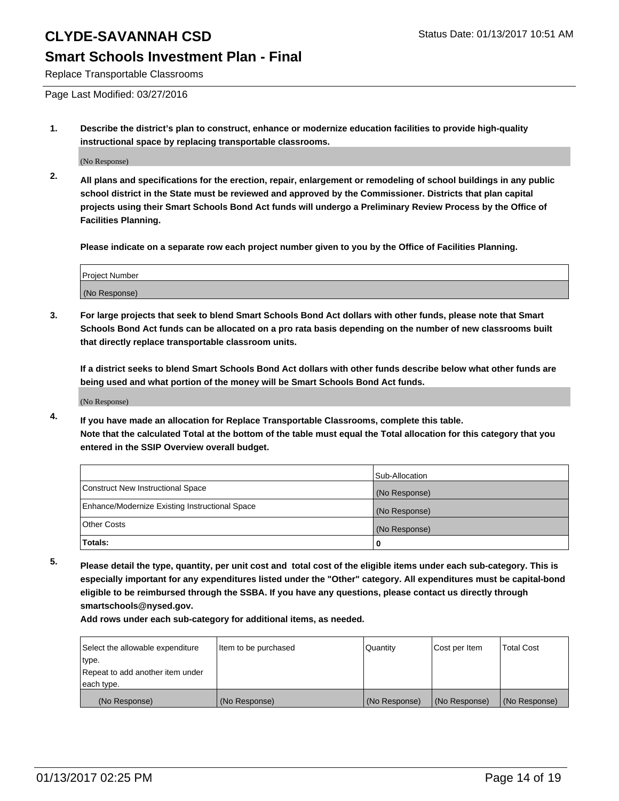### **Smart Schools Investment Plan - Final**

Replace Transportable Classrooms

Page Last Modified: 03/27/2016

**1. Describe the district's plan to construct, enhance or modernize education facilities to provide high-quality instructional space by replacing transportable classrooms.**

(No Response)

**2. All plans and specifications for the erection, repair, enlargement or remodeling of school buildings in any public school district in the State must be reviewed and approved by the Commissioner. Districts that plan capital projects using their Smart Schools Bond Act funds will undergo a Preliminary Review Process by the Office of Facilities Planning.**

**Please indicate on a separate row each project number given to you by the Office of Facilities Planning.**

| <b>Project Number</b> |  |
|-----------------------|--|
| (No Response)         |  |

**3. For large projects that seek to blend Smart Schools Bond Act dollars with other funds, please note that Smart Schools Bond Act funds can be allocated on a pro rata basis depending on the number of new classrooms built that directly replace transportable classroom units.**

**If a district seeks to blend Smart Schools Bond Act dollars with other funds describe below what other funds are being used and what portion of the money will be Smart Schools Bond Act funds.**

(No Response)

**4. If you have made an allocation for Replace Transportable Classrooms, complete this table. Note that the calculated Total at the bottom of the table must equal the Total allocation for this category that you entered in the SSIP Overview overall budget.**

|                                                | Sub-Allocation |
|------------------------------------------------|----------------|
| Construct New Instructional Space              | (No Response)  |
| Enhance/Modernize Existing Instructional Space | (No Response)  |
| <b>Other Costs</b>                             | (No Response)  |
| Totals:                                        |                |

**5. Please detail the type, quantity, per unit cost and total cost of the eligible items under each sub-category. This is especially important for any expenditures listed under the "Other" category. All expenditures must be capital-bond eligible to be reimbursed through the SSBA. If you have any questions, please contact us directly through smartschools@nysed.gov.**

**Add rows under each sub-category for additional items, as needed.**

| Select the allowable expenditure | Item to be purchased | Quantity      | Cost per Item | <b>Total Cost</b> |
|----------------------------------|----------------------|---------------|---------------|-------------------|
| type.                            |                      |               |               |                   |
| Repeat to add another item under |                      |               |               |                   |
| each type.                       |                      |               |               |                   |
| (No Response)                    | (No Response)        | (No Response) | (No Response) | (No Response)     |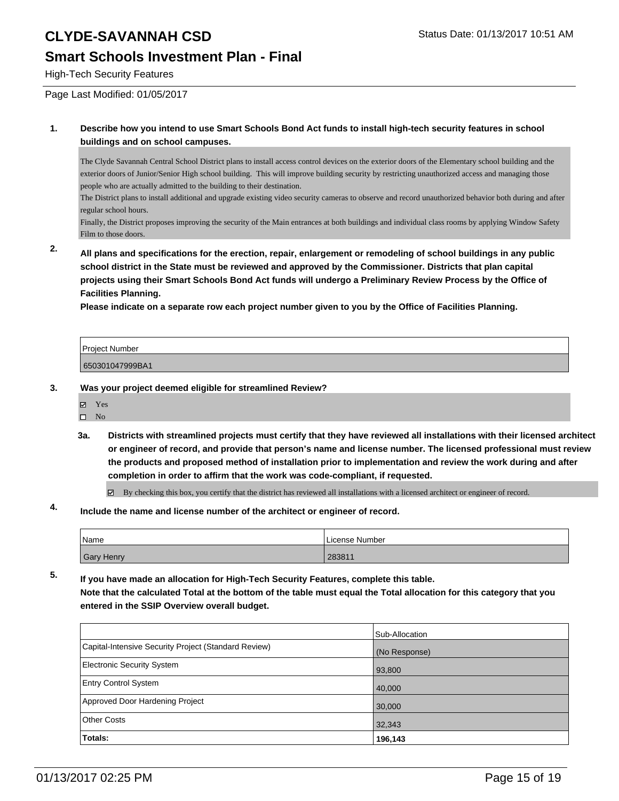### **Smart Schools Investment Plan - Final**

High-Tech Security Features

Page Last Modified: 01/05/2017

#### **1. Describe how you intend to use Smart Schools Bond Act funds to install high-tech security features in school buildings and on school campuses.**

The Clyde Savannah Central School District plans to install access control devices on the exterior doors of the Elementary school building and the exterior doors of Junior/Senior High school building. This will improve building security by restricting unauthorized access and managing those people who are actually admitted to the building to their destination.

The District plans to install additional and upgrade existing video security cameras to observe and record unauthorized behavior both during and after regular school hours.

Finally, the District proposes improving the security of the Main entrances at both buildings and individual class rooms by applying Window Safety Film to those doors.

**2. All plans and specifications for the erection, repair, enlargement or remodeling of school buildings in any public school district in the State must be reviewed and approved by the Commissioner. Districts that plan capital projects using their Smart Schools Bond Act funds will undergo a Preliminary Review Process by the Office of Facilities Planning.** 

**Please indicate on a separate row each project number given to you by the Office of Facilities Planning.**

| <b>Project Number</b> |  |
|-----------------------|--|
| 650301047999BA1       |  |

#### **3. Was your project deemed eligible for streamlined Review?**

- Yes
- $\square$  No
- **3a. Districts with streamlined projects must certify that they have reviewed all installations with their licensed architect or engineer of record, and provide that person's name and license number. The licensed professional must review the products and proposed method of installation prior to implementation and review the work during and after completion in order to affirm that the work was code-compliant, if requested.**

By checking this box, you certify that the district has reviewed all installations with a licensed architect or engineer of record.

**4. Include the name and license number of the architect or engineer of record.**

| Name       | License Number |
|------------|----------------|
| Gary Henry | 283811         |

**5. If you have made an allocation for High-Tech Security Features, complete this table. Note that the calculated Total at the bottom of the table must equal the Total allocation for this category that you entered in the SSIP Overview overall budget.**

|                                                      | Sub-Allocation |
|------------------------------------------------------|----------------|
| Capital-Intensive Security Project (Standard Review) | (No Response)  |
| Electronic Security System                           | 93,800         |
| Entry Control System                                 | 40,000         |
| Approved Door Hardening Project                      | 30,000         |
| Other Costs                                          | 32,343         |
| Totals:                                              | 196,143        |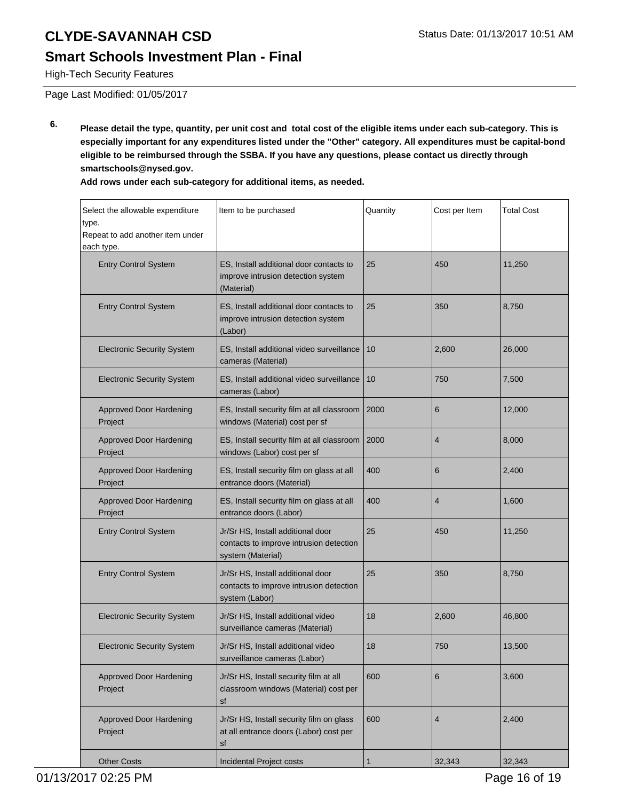High-Tech Security Features

Page Last Modified: 01/05/2017

**6. Please detail the type, quantity, per unit cost and total cost of the eligible items under each sub-category. This is especially important for any expenditures listed under the "Other" category. All expenditures must be capital-bond eligible to be reimbursed through the SSBA. If you have any questions, please contact us directly through smartschools@nysed.gov.**

| Select the allowable expenditure<br>type.<br>Repeat to add another item under<br>each type. | Item to be purchased                                                                              | Quantity     | Cost per Item | Total Cost |
|---------------------------------------------------------------------------------------------|---------------------------------------------------------------------------------------------------|--------------|---------------|------------|
| <b>Entry Control System</b>                                                                 | ES, Install additional door contacts to<br>improve intrusion detection system<br>(Material)       | 25           | 450           | 11,250     |
| <b>Entry Control System</b>                                                                 | ES, Install additional door contacts to<br>improve intrusion detection system<br>(Labor)          | 25           | 350           | 8,750      |
| <b>Electronic Security System</b>                                                           | ES, Install additional video surveillance<br>cameras (Material)                                   | 10           | 2,600         | 26,000     |
| <b>Electronic Security System</b>                                                           | ES, Install additional video surveillance<br>cameras (Labor)                                      | 10           | 750           | 7,500      |
| Approved Door Hardening<br>Project                                                          | ES, Install security film at all classroom<br>windows (Material) cost per sf                      | 2000         | 6             | 12,000     |
| Approved Door Hardening<br>Project                                                          | ES, Install security film at all classroom<br>windows (Labor) cost per sf                         | 2000         | 4             | 8,000      |
| Approved Door Hardening<br>Project                                                          | ES, Install security film on glass at all<br>entrance doors (Material)                            | 400          | 6             | 2,400      |
| Approved Door Hardening<br>Project                                                          | ES, Install security film on glass at all<br>entrance doors (Labor)                               | 400          | 4             | 1,600      |
| <b>Entry Control System</b>                                                                 | Jr/Sr HS, Install additional door<br>contacts to improve intrusion detection<br>system (Material) | 25           | 450           | 11,250     |
| <b>Entry Control System</b>                                                                 | Jr/Sr HS, Install additional door<br>contacts to improve intrusion detection<br>system (Labor)    | 25           | 350           | 8,750      |
| <b>Electronic Security System</b>                                                           | Jr/Sr HS, Install additional video<br>surveillance cameras (Material)                             | 18           | 2,600         | 46,800     |
| <b>Electronic Security System</b>                                                           | Jr/Sr HS, Install additional video<br>surveillance cameras (Labor)                                | 18           | 750           | 13,500     |
| <b>Approved Door Hardening</b><br>Project                                                   | Jr/Sr HS, Install security film at all<br>classroom windows (Material) cost per<br>sf             | 600          | 6             | 3,600      |
| <b>Approved Door Hardening</b><br>Project                                                   | Jr/Sr HS, Install security film on glass<br>at all entrance doors (Labor) cost per<br>sf          | 600          | 4             | 2,400      |
| <b>Other Costs</b>                                                                          | Incidental Project costs                                                                          | $\mathbf{1}$ | 32,343        | 32,343     |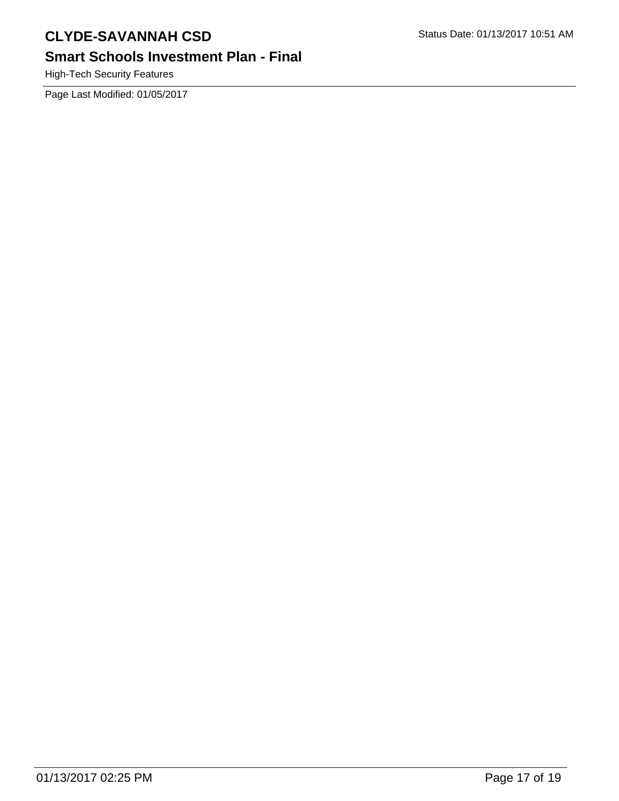## **Smart Schools Investment Plan - Final**

High-Tech Security Features

Page Last Modified: 01/05/2017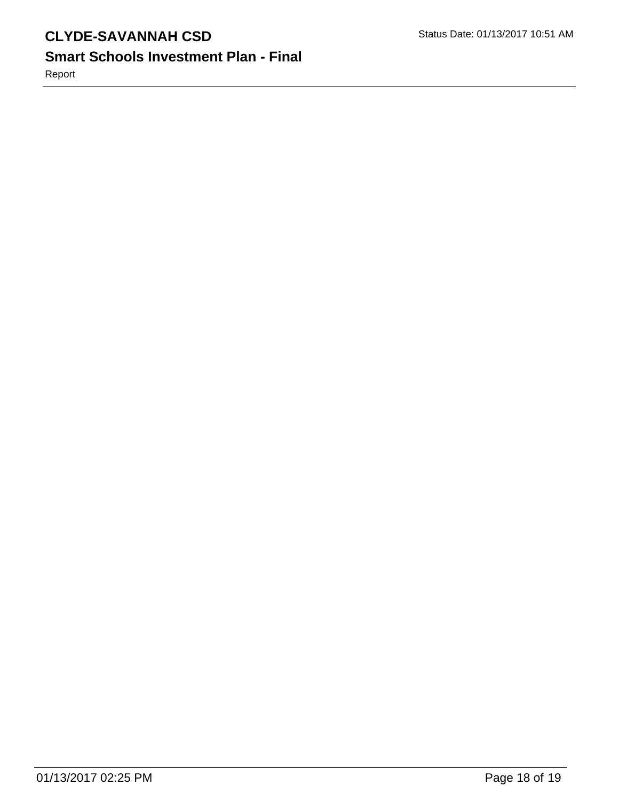# **Smart Schools Investment Plan - Final**

Report